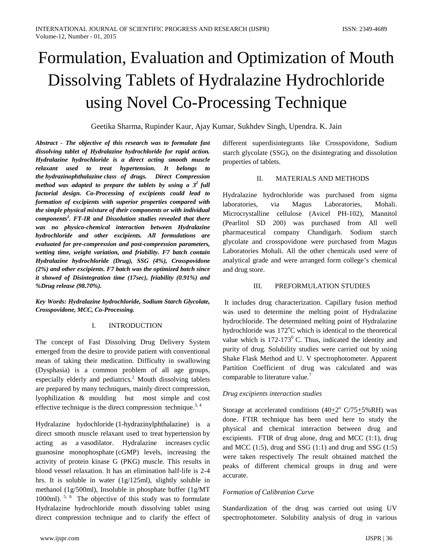# Formulation, Evaluation and Optimization of Mouth Dissolving Tablets of Hydralazine Hydrochloride using Novel Co-Processing Technique

Geetika Sharma, Rupinder Kaur, Ajay Kumar, Sukhdev Singh, Upendra. K. Jain

*Abstract - The objective of this research was to formulate fast dissolving tablet of Hydralazine hydrochloride for rapid action. Hydralazine hydrochloride is a direct acting smooth muscle relaxant used to treat hypertension. It belongs to the hydrazinophthalazine class of drugs. Direct Compression method was adapted to prepare the tablets by using a*  $3^2$  *full factorial design. Co-Processing of excipients could lead to formation of excipients with superior properties compared with the simple physical mixture of their components or with individual components1 . FT-IR and Dissolution studies revealed that there was no physico-chemical interaction between Hydralazine hydrochloride and other excipients. All formulations are evaluated for pre-compression and post-compression parameters, wetting time, weight variation, and friability. F7 batch contain Hydralazine hydrochloride (Drug), SSG (4%), Crosspovidone (2%) and other excipients. F7 batch was the optimized batch since it showed of Disintegration time (17sec), friability (0.91%) and %Drug release (98.70%).*

*Key Words: Hydralazine hydrochloride, Sodium Starch Glycolate, Crosspovidone, MCC, Co-Processing.*

## I. INTRODUCTION

The concept of Fast Dissolving Drug Delivery System emerged from the desire to provide patient with conventional mean of taking their medication. Difficulty in swallowing (Dysphasia) is a common problem of all age groups, especially elderly and pediatrics.<sup>2</sup> Mouth dissolving tablets are prepared by many techniques, mainly direct compression, lyophilization & moulding but most simple and cost effective technique is the direct compression technique.<sup>3, 4</sup>

Hydralazine hydochloride (1-hydrazinylphthalazine) is a direct smooth muscle relaxant used to treat [hypertension](http://en.wikipedia.org/wiki/Hypertension) by acting as a [vasodilator.](http://en.wikipedia.org/wiki/Vasodilator) Hydralazine increases [cyclic](http://en.wikipedia.org/wiki/Cyclic_guanosine_monophosphate)  [guanosine monophosphate](http://en.wikipedia.org/wiki/Cyclic_guanosine_monophosphate) (cGMP) levels, increasing the activity of protein kinase G (PKG) muscle. This results in blood vessel relaxation. It has an elimination half‐life is 2-4 hrs. It is soluble in water (1g/125ml), slightly soluble in methanol (1g/500ml), Insoluble in phosphate buffer (1g/MT 1000ml).  $5, 6$  The objective of this study was to formulate Hydralazine hydrochloride mouth dissolving tablet using direct compression technique and to clarify the effect of different superdisintegrants like Crosspovidone, Sodium starch glycolate (SSG), on the disintegrating and dissolution properties of tablets.

## II. MATERIALS AND METHODS

Hydralazine hydrochloride was purchased from sigma laboratories, via Magus Laboratories, Mohali. Microcrystalline cellulose (Avicel PH-102), Mannitol (Pearlitol SD 200) was purchased from All well pharmaceutical company Chandigarh. Sodium starch glycolate and crosspovidone were purchased from Magus Laboratories Mohali. All the other chemicals used were of analytical grade and were arranged form college's chemical and drug store.

## III. PREFORMULATION STUDIES

It includes drug characterization. Capillary fusion method was used to determine the melting point of Hydralazine hydrochloride. The determined melting point of Hydralazine hydrochloride was 172°C which is identical to the theoretical value which is  $172-173^{\circ}$  C. Thus, indicated the identity and purity of drug. Solubility studies were carried out by using Shake Flask Method and U. V spectrophotometer. Apparent Partition Coefficient of drug was calculated and was comparable to literature value.<sup>7</sup>

#### *Drug excipients interaction studies*

Storage at accelerated conditions  $(40+2^{\circ} C/75+5\% RH)$  was done. FTIR technique has been used here to study the physical and chemical interaction between drug and excipients. FTIR of drug alone, drug and MCC (1:1), drug and MCC  $(1:5)$ , drug and SSG  $(1:1)$  and drug and SSG  $(1:5)$ were taken respectively The result obtained matched the peaks of different chemical groups in drug and were accurate.

## *Formation of Calibration Curve*

Standardization of the drug was carried out using UV spectrophotometer. Solubility analysis of drug in various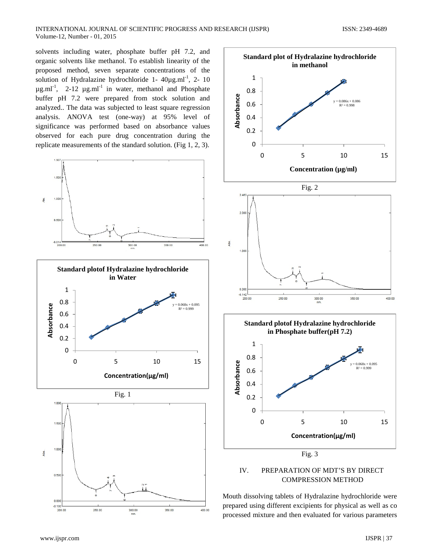solvents including water, phosphate buffer pH 7.2, and organic solvents like methanol. To establish linearity of the proposed method, seven separate concentrations of the solution of Hydralazine hydrochloride  $1 - 40\mu\text{g.m}^{-1}$ , 2- 10  $\mu$ g.ml<sup>-1</sup>, 2-12  $\mu$ g.ml<sup>-1</sup> in water, methanol and Phosphate buffer pH 7.2 were prepared from stock solution and analyzed.. The data was subjected to least square regression analysis. ANOVA test (one-way) at 95% level of significance was performed based on absorbance values observed for each pure drug concentration during the replicate measurements of the standard solution. (Fig 1, 2, 3).





COMPRESSION METHOD

Mouth dissolving tablets of Hydralazine hydrochloride were prepared using different excipients for physical as well as co processed mixture and then evaluated for various parameters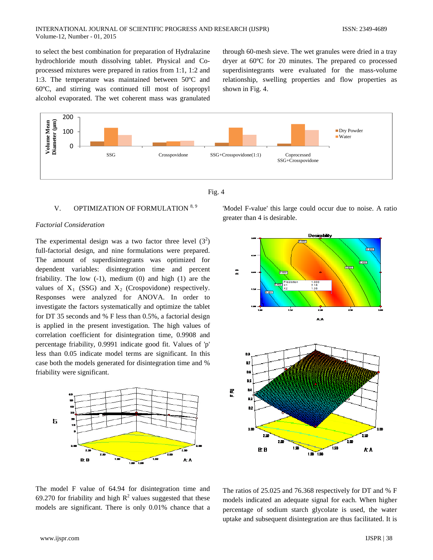to select the best combination for preparation of Hydralazine hydrochloride mouth dissolving tablet. Physical and Coprocessed mixtures were prepared in ratios from 1:1, 1:2 and 1:3. The temperature was maintained between 50ºC and 60ºC, and stirring was continued till most of isopropyl alcohol evaporated. The wet coherent mass was granulated through 60-mesh sieve. The wet granules were dried in a tray dryer at 60ºC for 20 minutes. The prepared co processed superdisintegrants were evaluated for the mass-volume relationship, swelling properties and flow properties as shown in Fig. 4.





## V. OPTIMIZATION OF FORMULATION 8, 9

#### *Factorial Consideration*

The experimental design was a two factor three level  $(3^2)$ full-factorial design, and nine formulations were prepared. The amount of superdisintegrants was optimized for dependent variables: disintegration time and percent friability. The low  $(-1)$ , medium  $(0)$  and high  $(1)$  are the values of  $X_1$  (SSG) and  $X_2$  (Crospovidone) respectively. Responses were analyzed for ANOVA. In order to investigate the factors systematically and optimize the tablet for DT 35 seconds and % F less than 0.5%, a factorial design is applied in the present investigation. The high values of correlation coefficient for disintegration time, 0.9908 and percentage friability, 0.9991 indicate good fit. Values of 'p' less than 0.05 indicate model terms are significant. In this case both the models generated for disintegration time and % friability were significant.



'Model F-value' this large could occur due to noise. A ratio greater than 4 is desirable.



The model F value of 64.94 for disintegration time and 69.270 for friability and high  $R^2$  values suggested that these models are significant. There is only 0.01% chance that a

The ratios of 25.025 and 76.368 respectively for DT and % F models indicated an adequate signal for each. When higher percentage of sodium starch glycolate is used, the water uptake and subsequent disintegration are thus facilitated. It is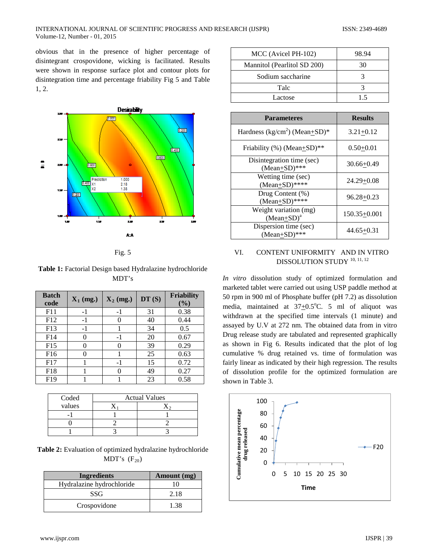#### INTERNATIONAL JOURNAL OF SCIENTIFIC PROGRESS AND RESEARCH (IJSPR) ISSN: 2349-4689 Volume-12, Number - 01, 2015

obvious that in the presence of higher percentage of disintegrant crospovidone, wicking is facilitated. Results were shown in response surface plot and contour plots for disintegration time and percentage friability Fig 5 and Table 1, 2.





**Table 1:** Factorial Design based Hydralazine hydrochloride MDT's

| <b>Batch</b><br>code | $X_1$ (mg.) | $X_2$ (mg.) | DT(S) | <b>Friability</b><br>$\mathcal{O}_0$ |
|----------------------|-------------|-------------|-------|--------------------------------------|
| F11                  | -1          | -1          | 31    | 0.38                                 |
| F12                  | -1          |             | 40    | 0.44                                 |
| F13                  | $-1$        |             | 34    | 0.5                                  |
| F14                  | 0           | $-1$        | 20    | 0.67                                 |
| F15                  |             |             | 39    | 0.29                                 |
| F <sub>16</sub>      |             |             | 25    | 0.63                                 |
| F17                  |             | -1          | 15    | 0.72                                 |
| F18                  |             |             | 49    | 0.27                                 |
| F <sub>19</sub>      |             |             | 23    | 0.58                                 |

| Coded  | <b>Actual Values</b> |  |  |
|--------|----------------------|--|--|
| values |                      |  |  |
|        |                      |  |  |
|        |                      |  |  |
|        |                      |  |  |

| <b>Table 2:</b> Evaluation of optimized hydralazine hydrochloride |
|-------------------------------------------------------------------|
| MDT's $(F_{20})$                                                  |

| <b>Ingredients</b>        | Amount (mg) |
|---------------------------|-------------|
| Hydralazine hydrochloride |             |
| SSG                       | 2.18        |
| Crospovidone              | 1.38        |

| MCC (Avicel PH-102)         | 98.94 |
|-----------------------------|-------|
| Mannitol (Pearlitol SD 200) | 30    |
| Sodium saccharine           |       |
| Talc                        |       |
| Lactose                     | 15    |

| <b>Parameteres</b>                              | <b>Results</b>   |
|-------------------------------------------------|------------------|
| Hardness (kg/cm <sup>2</sup> ) (Mean $\pm$ SD)* | $3.21 + 0.12$    |
| Friability (%) (Mean+SD)**                      | $0.50 + 0.01$    |
| Disintegration time (sec)<br>$(Mean+SD)***$     | $30.66 + 0.49$   |
| Wetting time (sec)<br>$(Mean+SD)$ ****          | $24.29 + 0.08$   |
| Drug Content (%)<br>$(Mean+SD)$ ****            | $96.28 + 0.23$   |
| Weight variation (mg)<br>$(Mean+SD)^a$          | $150.35 + 0.001$ |
| Dispersion time (sec)<br>$(Mean+SD)$ ***        | $44.65 + 0.31$   |

## VI. CONTENT UNIFORMITY AND IN VITRO DISSOLUTION STUDY <sup>10, 11, 12</sup>

*In vitro* dissolution study of optimized formulation and marketed tablet were carried out using USP paddle method at 50 rpm in 900 ml of Phosphate buffer (pH 7.2) as dissolution media, maintained at  $37+0.5$ °C. 5 ml of aliquot was withdrawn at the specified time intervals (1 minute) and assayed by U.V at 272 nm. The obtained data from in vitro Drug release study are tabulated and represented graphically as shown in Fig 6. Results indicated that the plot of log cumulative % drug retained vs. time of formulation was fairly linear as indicated by their high regression. The results of dissolution profile for the optimized formulation are shown in Table 3.

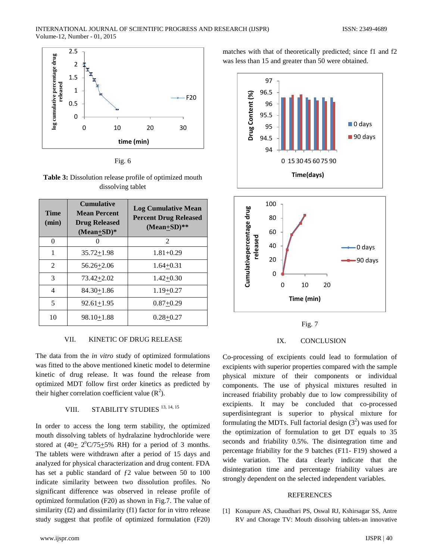

Fig. 6

**Table 3:** Dissolution release profile of optimized mouth dissolving tablet

| <b>Time</b><br>(min) | <b>Cumulative</b><br><b>Mean Percent</b><br><b>Drug Released</b><br>$(Mean+SD)*$ | <b>Log Cumulative Mean</b><br><b>Percent Drug Released</b><br>$(Mean+SD)**$ |
|----------------------|----------------------------------------------------------------------------------|-----------------------------------------------------------------------------|
| $\Omega$             |                                                                                  | $\mathcal{D}_{\mathcal{L}}$                                                 |
| 1                    | $35.72 + 1.98$                                                                   | $1.81 + 0.29$                                                               |
| 2                    | $56.26 + 2.06$                                                                   | $1.64 + 0.31$                                                               |
| 3                    | 73.42+2.02                                                                       | $1.42 + 0.30$                                                               |
| 4                    | $84.30 + 1.86$                                                                   | $1.19 + 0.27$                                                               |
| 5                    | $92.61 + 1.95$                                                                   | $0.87 + 0.29$                                                               |
| 10                   | $98.10 + 1.88$                                                                   | $0.28 + 0.27$                                                               |

#### VII. KINETIC OF DRUG RELEASE

The data from the *in vitro* study of optimized formulations was fitted to the above mentioned kinetic model to determine kinetic of drug release. It was found the release from optimized MDT follow first order kinetics as predicted by their higher correlation coefficient value  $(R^2)$ .

## VIII. STABILITY STUDIES<sup>13, 14, 15</sup>

In order to access the long term stability, the optimized mouth dissolving tablets of hydralazine hydrochloride were stored at  $(40 \pm 2^{\circ}C/75 \pm 5\%$  RH) for a period of 3 months. The tablets were withdrawn after a period of 15 days and analyzed for physical characterization and drug content. FDA has set a public standard of  $f2$  value between 50 to 100 indicate similarity between two dissolution profiles. No significant difference was observed in release profile of optimized formulation (F20) as shown in Fig.7. The value of similarity (f2) and dissimilarity (f1) factor for in vitro release study suggest that profile of optimized formulation (F20)

matches with that of theoretically predicted; since f1 and f2 was less than 15 and greater than 50 were obtained.









Co-processing of excipients could lead to formulation of excipients with superior properties compared with the sample physical mixture of their components or individual components. The use of physical mixtures resulted in increased friability probably due to low compressibility of excipients. It may be concluded that co-processed superdisintegrant is superior to physical mixture for formulating the MDTs. Full factorial design  $(3^2)$  was used for the optimization of formulation to get DT equals to 35 seconds and friability 0.5%. The disintegration time and percentage friability for the 9 batches (F11- F19) showed a wide variation. The data clearly indicate that the disintegration time and percentage friability values are strongly dependent on the selected independent variables.

#### **REFERENCES**

[1] Konapure AS, Chaudhari PS, Oswal RJ, Kshirsagar SS, Antre RV and Chorage TV: Mouth dissolving tablets-an innovative